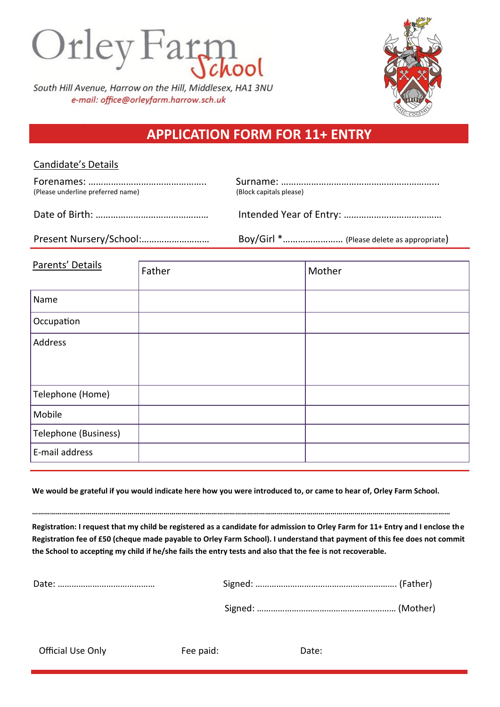

South Hill Avenue, Harrow on the Hill, Middlesex, HA1 3NU e-mail: office@orleyfarm.harrow.sch.uk



## **APPLICATION FORM FOR 11+ ENTRY**

## Candidate's Details

| (Please underline preferred name) | (Block capitals please)                   |
|-----------------------------------|-------------------------------------------|
|                                   |                                           |
| Present Nursery/School:           | Boy/Girl * (Please delete as appropriate) |
|                                   |                                           |

| Parents' Details     | Father | Mother |
|----------------------|--------|--------|
| Name                 |        |        |
| Occupation           |        |        |
| Address              |        |        |
| Telephone (Home)     |        |        |
| Mobile               |        |        |
| Telephone (Business) |        |        |
| E-mail address       |        |        |

**We would be grateful if you would indicate here how you were introduced to, or came to hear of, Orley Farm School.**

**…………………………………………………………………………………………………………………………………………………………………………………………**

**Registration: I request that my child be registered as a candidate for admission to Orley Farm for 11+ Entry and I enclose the Registration fee of £50 (cheque made payable to Orley Farm School). I understand that payment of this fee does not commit the School to accepting my child if he/she fails the entry tests and also that the fee is not recoverable.**

Official Use Only **Fee paid:** Date: